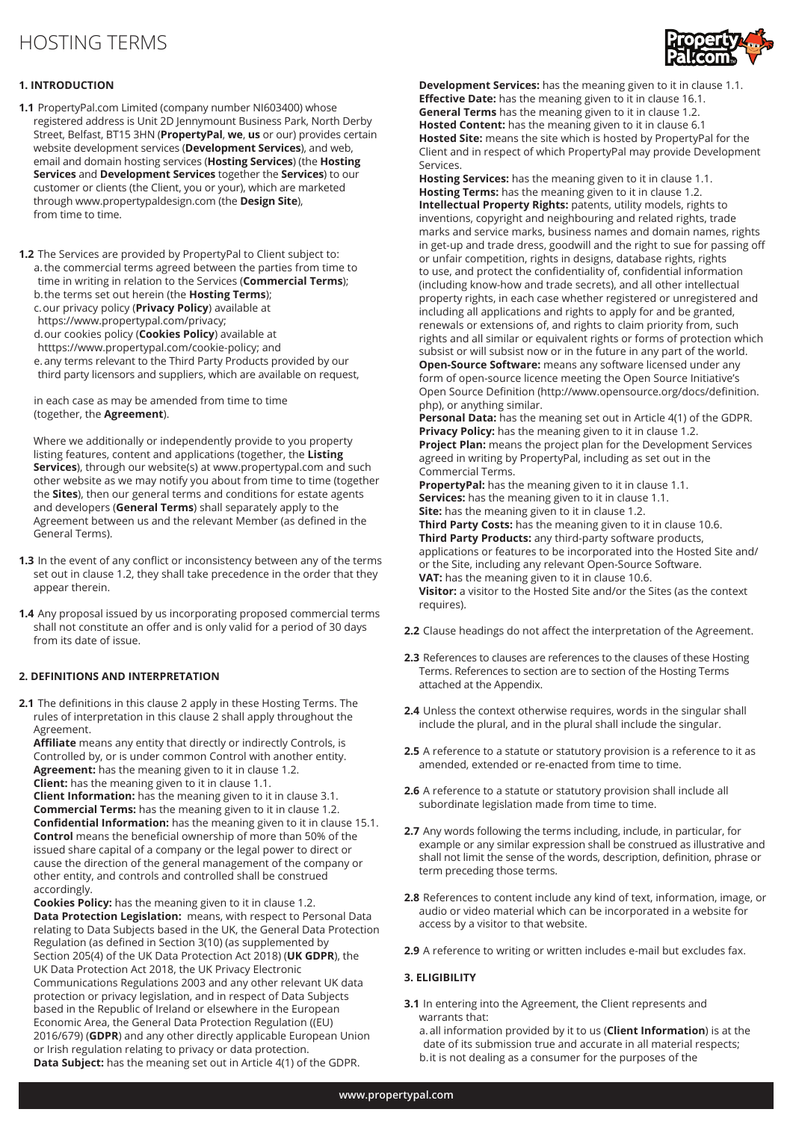# HOSTING TERMS



# **1. INTRODUCTION**

- **1.1** PropertyPal.com Limited (company number NI603400) whose registered address is Unit 2D Jennymount Business Park, North Derby Street, Belfast, BT15 3HN (**PropertyPal**, **we**, **us** or our) provides certain website development services (**Development Services**), and web, email and domain hosting services (**Hosting Services**) (the **Hosting Services** and **Development Services** together the **Services**) to our customer or clients (the Client, you or your), which are marketed through www.propertypaldesign.com (the **Design Site**), from time to time.
- **1.2** The Services are provided by PropertyPal to Client subject to: a.the commercial terms agreed between the parties from time to time in writing in relation to the Services (**Commercial Terms**); b.the terms set out herein (the **Hosting Terms**); c.our privacy policy (**Privacy Policy**) available at https://www.propertypal.com/privacy; d.our cookies policy (**Cookies Policy**) available at htttps://www.propertypal.com/cookie-policy; and e.any terms relevant to the Third Party Products provided by our third party licensors and suppliers, which are available on request,

 in each case as may be amended from time to time (together, the **Agreement**).

Where we additionally or independently provide to you property listing features, content and applications (together, the **Listing Services**), through our website(s) at www.propertypal.com and such other website as we may notify you about from time to time (together the **Sites**), then our general terms and conditions for estate agents and developers (**General Terms**) shall separately apply to the Agreement between us and the relevant Member (as defined in the General Terms).

- **1.3** In the event of any conflict or inconsistency between any of the terms set out in clause 1.2, they shall take precedence in the order that they appear therein.
- **1.4** Any proposal issued by us incorporating proposed commercial terms shall not constitute an offer and is only valid for a period of 30 days from its date of issue.

# **2. DEFINITIONS AND INTERPRETATION**

**2.1** The definitions in this clause 2 apply in these Hosting Terms. The rules of interpretation in this clause 2 shall apply throughout the Agreement.

**Affiliate** means any entity that directly or indirectly Controls, is Controlled by, or is under common Control with another entity. **Agreement:** has the meaning given to it in clause 1.2. **Client:** has the meaning given to it in clause 1.1.

**Client Information:** has the meaning given to it in clause 3.1. **Commercial Terms:** has the meaning given to it in clause 1.2. **Confidential Information:** has the meaning given to it in clause 15.1. **Control** means the beneficial ownership of more than 50% of the issued share capital of a company or the legal power to direct or cause the direction of the general management of the company or other entity, and controls and controlled shall be construed accordingly.

**Cookies Policy:** has the meaning given to it in clause 1.2. **Data Protection Legislation:** means, with respect to Personal Data relating to Data Subjects based in the UK, the General Data Protection Regulation (as defined in Section 3(10) (as supplemented by Section 205(4) of the UK Data Protection Act 2018) (**UK GDPR**), the UK Data Protection Act 2018, the UK Privacy Electronic Communications Regulations 2003 and any other relevant UK data protection or privacy legislation, and in respect of Data Subjects based in the Republic of Ireland or elsewhere in the European Economic Area, the General Data Protection Regulation ((EU) 2016/679) (**GDPR**) and any other directly applicable European Union or Irish regulation relating to privacy or data protection. **Data Subject:** has the meaning set out in Article 4(1) of the GDPR.

**Development Services:** has the meaning given to it in clause 1.1. **Effective Date:** has the meaning given to it in clause 16.1. **General Terms** has the meaning given to it in clause 1.2. **Hosted Content:** has the meaning given to it in clause 6.1 **Hosted Site:** means the site which is hosted by PropertyPal for the Client and in respect of which PropertyPal may provide Development Services.

**Hosting Services:** has the meaning given to it in clause 1.1. **Hosting Terms:** has the meaning given to it in clause 1.2. **Intellectual Property Rights:** patents, utility models, rights to inventions, copyright and neighbouring and related rights, trade marks and service marks, business names and domain names, rights in get-up and trade dress, goodwill and the right to sue for passing off or unfair competition, rights in designs, database rights, rights to use, and protect the confidentiality of, confidential information (including know-how and trade secrets), and all other intellectual property rights, in each case whether registered or unregistered and including all applications and rights to apply for and be granted, renewals or extensions of, and rights to claim priority from, such rights and all similar or equivalent rights or forms of protection which subsist or will subsist now or in the future in any part of the world.

**Open-Source Software:** means any software licensed under any form of open-source licence meeting the Open Source Initiative's Open Source Definition (http://www.opensource.org/docs/definition. php), or anything similar.

**Personal Data:** has the meaning set out in Article 4(1) of the GDPR. **Privacy Policy:** has the meaning given to it in clause 1.2. **Project Plan:** means the project plan for the Development Services agreed in writing by PropertyPal, including as set out in the Commercial Terms.

**PropertyPal:** has the meaning given to it in clause 1.1. **Services:** has the meaning given to it in clause 1.1. **Site:** has the meaning given to it in clause 1.2. **Third Party Costs:** has the meaning given to it in clause 10.6. **Third Party Products:** any third-party software products, applications or features to be incorporated into the Hosted Site and/ or the Site, including any relevant Open-Source Software. **VAT:** has the meaning given to it in clause 10.6. **Visitor:** a visitor to the Hosted Site and/or the Sites (as the context requires).

- **2.2** Clause headings do not affect the interpretation of the Agreement.
- **2.3** References to clauses are references to the clauses of these Hosting Terms. References to section are to section of the Hosting Terms attached at the Appendix.
- **2.4** Unless the context otherwise requires, words in the singular shall include the plural, and in the plural shall include the singular.
- **2.5** A reference to a statute or statutory provision is a reference to it as amended, extended or re-enacted from time to time.
- **2.6** A reference to a statute or statutory provision shall include all subordinate legislation made from time to time.
- **2.7** Any words following the terms including, include, in particular, for example or any similar expression shall be construed as illustrative and shall not limit the sense of the words, description, definition, phrase or term preceding those terms.
- **2.8** References to content include any kind of text, information, image, or audio or video material which can be incorporated in a website for access by a visitor to that website.
- **2.9** A reference to writing or written includes e-mail but excludes fax.

# **3. ELIGIBILITY**

**3.1** In entering into the Agreement, the Client represents and warrants that:

 a.all information provided by it to us (**Client Information**) is at the date of its submission true and accurate in all material respects; b.it is not dealing as a consumer for the purposes of the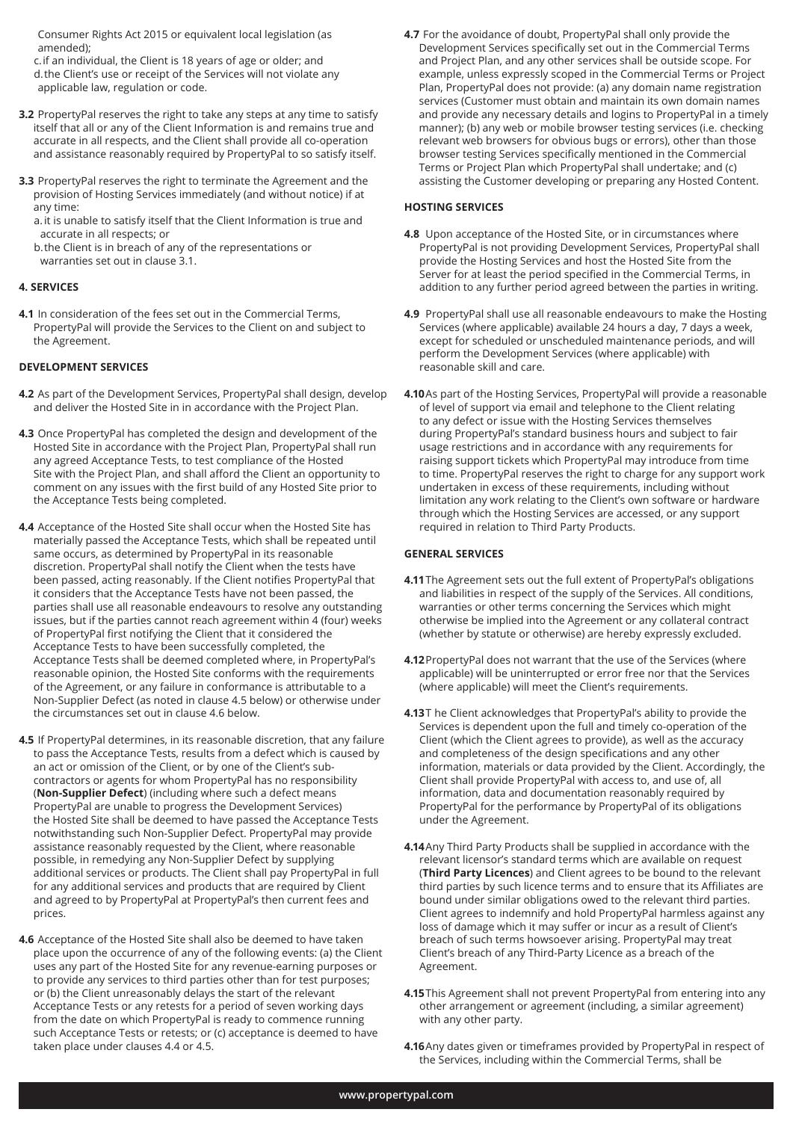Consumer Rights Act 2015 or equivalent local legislation (as amended);

 c.if an individual, the Client is 18 years of age or older; and d.the Client's use or receipt of the Services will not violate any applicable law, regulation or code.

- **3.2** PropertyPal reserves the right to take any steps at any time to satisfy itself that all or any of the Client Information is and remains true and accurate in all respects, and the Client shall provide all co-operation and assistance reasonably required by PropertyPal to so satisfy itself.
- **3.3** PropertyPal reserves the right to terminate the Agreement and the provision of Hosting Services immediately (and without notice) if at any time:

 a. it is unable to satisfy itself that the Client Information is true and accurate in all respects; or

 b.the Client is in breach of any of the representations or warranties set out in clause 3.1.

#### **4. SERVICES**

**4.1** In consideration of the fees set out in the Commercial Terms, PropertyPal will provide the Services to the Client on and subject to the Agreement.

#### **DEVELOPMENT SERVICES**

- **4.2** As part of the Development Services, PropertyPal shall design, develop and deliver the Hosted Site in in accordance with the Project Plan.
- **4.3** Once PropertyPal has completed the design and development of the Hosted Site in accordance with the Project Plan, PropertyPal shall run any agreed Acceptance Tests, to test compliance of the Hosted Site with the Project Plan, and shall afford the Client an opportunity to comment on any issues with the first build of any Hosted Site prior to the Acceptance Tests being completed.
- **4.4** Acceptance of the Hosted Site shall occur when the Hosted Site has materially passed the Acceptance Tests, which shall be repeated until same occurs, as determined by PropertyPal in its reasonable discretion. PropertyPal shall notify the Client when the tests have been passed, acting reasonably. If the Client notifies PropertyPal that it considers that the Acceptance Tests have not been passed, the parties shall use all reasonable endeavours to resolve any outstanding issues, but if the parties cannot reach agreement within 4 (four) weeks of PropertyPal first notifying the Client that it considered the Acceptance Tests to have been successfully completed, the Acceptance Tests shall be deemed completed where, in PropertyPal's reasonable opinion, the Hosted Site conforms with the requirements of the Agreement, or any failure in conformance is attributable to a Non-Supplier Defect (as noted in clause 4.5 below) or otherwise under the circumstances set out in clause 4.6 below.
- **4.5** If PropertyPal determines, in its reasonable discretion, that any failure to pass the Acceptance Tests, results from a defect which is caused by an act or omission of the Client, or by one of the Client's subcontractors or agents for whom PropertyPal has no responsibility (**Non-Supplier Defect**) (including where such a defect means PropertyPal are unable to progress the Development Services) the Hosted Site shall be deemed to have passed the Acceptance Tests notwithstanding such Non-Supplier Defect. PropertyPal may provide assistance reasonably requested by the Client, where reasonable possible, in remedying any Non-Supplier Defect by supplying additional services or products. The Client shall pay PropertyPal in full for any additional services and products that are required by Client and agreed to by PropertyPal at PropertyPal's then current fees and prices.
- **4.6** Acceptance of the Hosted Site shall also be deemed to have taken place upon the occurrence of any of the following events: (a) the Client uses any part of the Hosted Site for any revenue-earning purposes or to provide any services to third parties other than for test purposes; or (b) the Client unreasonably delays the start of the relevant Acceptance Tests or any retests for a period of seven working days from the date on which PropertyPal is ready to commence running such Acceptance Tests or retests; or (c) acceptance is deemed to have taken place under clauses 4.4 or 4.5.

**4.7** For the avoidance of doubt, PropertyPal shall only provide the Development Services specifically set out in the Commercial Terms and Project Plan, and any other services shall be outside scope. For example, unless expressly scoped in the Commercial Terms or Project Plan, PropertyPal does not provide: (a) any domain name registration services (Customer must obtain and maintain its own domain names and provide any necessary details and logins to PropertyPal in a timely manner); (b) any web or mobile browser testing services (i.e. checking relevant web browsers for obvious bugs or errors), other than those browser testing Services specifically mentioned in the Commercial Terms or Project Plan which PropertyPal shall undertake; and (c) assisting the Customer developing or preparing any Hosted Content.

# **HOSTING SERVICES**

- **4.8** Upon acceptance of the Hosted Site, or in circumstances where PropertyPal is not providing Development Services, PropertyPal shall provide the Hosting Services and host the Hosted Site from the Server for at least the period specified in the Commercial Terms, in addition to any further period agreed between the parties in writing.
- **4.9** PropertyPal shall use all reasonable endeavours to make the Hosting Services (where applicable) available 24 hours a day, 7 days a week, except for scheduled or unscheduled maintenance periods, and will perform the Development Services (where applicable) with reasonable skill and care.
- **4.10**As part of the Hosting Services, PropertyPal will provide a reasonable of level of support via email and telephone to the Client relating to any defect or issue with the Hosting Services themselves during PropertyPal's standard business hours and subject to fair usage restrictions and in accordance with any requirements for raising support tickets which PropertyPal may introduce from time to time. PropertyPal reserves the right to charge for any support work undertaken in excess of these requirements, including without limitation any work relating to the Client's own software or hardware through which the Hosting Services are accessed, or any support required in relation to Third Party Products.

#### **GENERAL SERVICES**

- **4.11**The Agreement sets out the full extent of PropertyPal's obligations and liabilities in respect of the supply of the Services. All conditions, warranties or other terms concerning the Services which might otherwise be implied into the Agreement or any collateral contract (whether by statute or otherwise) are hereby expressly excluded.
- **4.12**PropertyPal does not warrant that the use of the Services (where applicable) will be uninterrupted or error free nor that the Services (where applicable) will meet the Client's requirements.
- **4.13**T he Client acknowledges that PropertyPal's ability to provide the Services is dependent upon the full and timely co-operation of the Client (which the Client agrees to provide), as well as the accuracy and completeness of the design specifications and any other information, materials or data provided by the Client. Accordingly, the Client shall provide PropertyPal with access to, and use of, all information, data and documentation reasonably required by PropertyPal for the performance by PropertyPal of its obligations under the Agreement.
- **4.14**Any Third Party Products shall be supplied in accordance with the relevant licensor's standard terms which are available on request (**Third Party Licences**) and Client agrees to be bound to the relevant third parties by such licence terms and to ensure that its Affiliates are bound under similar obligations owed to the relevant third parties. Client agrees to indemnify and hold PropertyPal harmless against any loss of damage which it may suffer or incur as a result of Client's breach of such terms howsoever arising. PropertyPal may treat Client's breach of any Third-Party Licence as a breach of the Agreement.
- **4.15**This Agreement shall not prevent PropertyPal from entering into any other arrangement or agreement (including, a similar agreement) with any other party.
- **4.16**Any dates given or timeframes provided by PropertyPal in respect of the Services, including within the Commercial Terms, shall be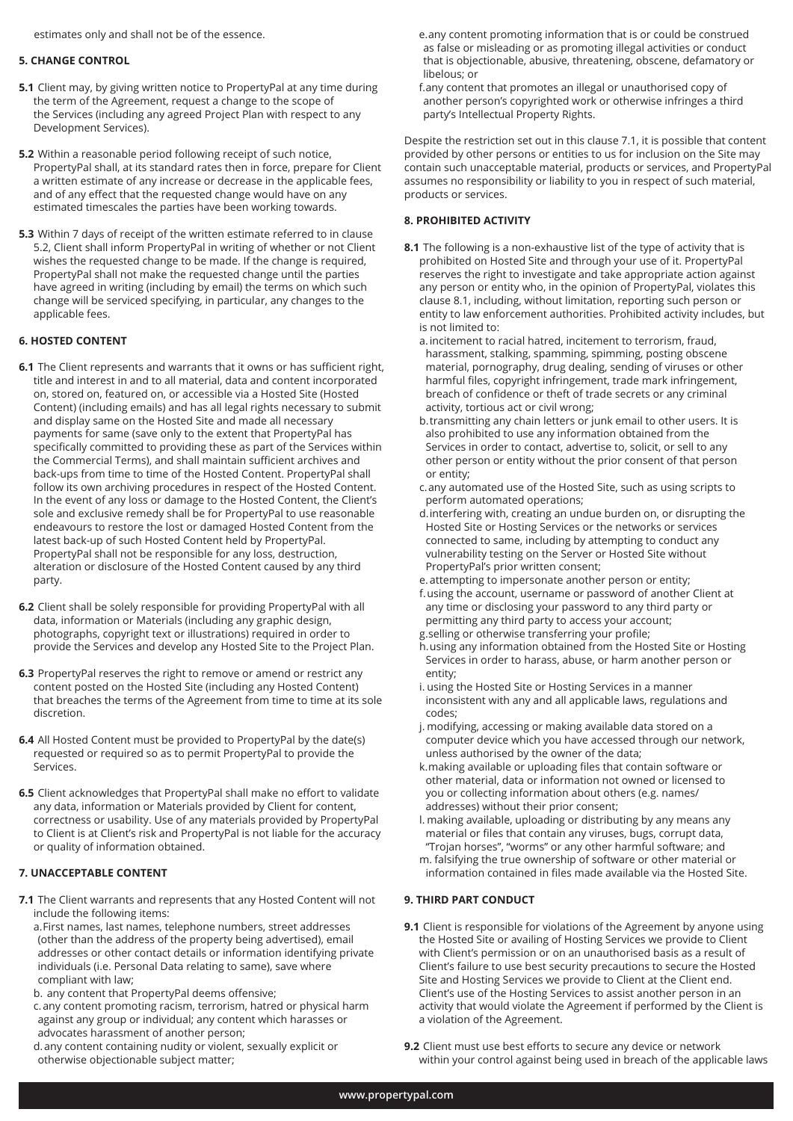estimates only and shall not be of the essence.

#### **5. CHANGE CONTROL**

- **5.1** Client may, by giving written notice to PropertyPal at any time during the term of the Agreement, request a change to the scope of the Services (including any agreed Project Plan with respect to any Development Services).
- **5.2** Within a reasonable period following receipt of such notice, PropertyPal shall, at its standard rates then in force, prepare for Client a written estimate of any increase or decrease in the applicable fees, and of any effect that the requested change would have on any estimated timescales the parties have been working towards.
- **5.3** Within 7 days of receipt of the written estimate referred to in clause 5.2, Client shall inform PropertyPal in writing of whether or not Client wishes the requested change to be made. If the change is required, PropertyPal shall not make the requested change until the parties have agreed in writing (including by email) the terms on which such change will be serviced specifying, in particular, any changes to the applicable fees.

# **6. HOSTED CONTENT**

- **6.1** The Client represents and warrants that it owns or has sufficient right, title and interest in and to all material, data and content incorporated on, stored on, featured on, or accessible via a Hosted Site (Hosted Content) (including emails) and has all legal rights necessary to submit and display same on the Hosted Site and made all necessary payments for same (save only to the extent that PropertyPal has specifically committed to providing these as part of the Services within the Commercial Terms), and shall maintain sufficient archives and back-ups from time to time of the Hosted Content. PropertyPal shall follow its own archiving procedures in respect of the Hosted Content. In the event of any loss or damage to the Hosted Content, the Client's sole and exclusive remedy shall be for PropertyPal to use reasonable endeavours to restore the lost or damaged Hosted Content from the latest back-up of such Hosted Content held by PropertyPal. PropertyPal shall not be responsible for any loss, destruction, alteration or disclosure of the Hosted Content caused by any third party.
- **6.2** Client shall be solely responsible for providing PropertyPal with all data, information or Materials (including any graphic design, photographs, copyright text or illustrations) required in order to provide the Services and develop any Hosted Site to the Project Plan.
- **6.3** PropertyPal reserves the right to remove or amend or restrict any content posted on the Hosted Site (including any Hosted Content) that breaches the terms of the Agreement from time to time at its sole discretion.
- **6.4** All Hosted Content must be provided to PropertyPal by the date(s) requested or required so as to permit PropertyPal to provide the Services.
- **6.5** Client acknowledges that PropertyPal shall make no effort to validate any data, information or Materials provided by Client for content, correctness or usability. Use of any materials provided by PropertyPal to Client is at Client's risk and PropertyPal is not liable for the accuracy or quality of information obtained.

### **7. UNACCEPTABLE CONTENT**

- **7.1** The Client warrants and represents that any Hosted Content will not include the following items:
	- a.First names, last names, telephone numbers, street addresses (other than the address of the property being advertised), email addresses or other contact details or information identifying private individuals (i.e. Personal Data relating to same), save where compliant with law;
	- b. any content that PropertyPal deems offensive;
	- c.any content promoting racism, terrorism, hatred or physical harm against any group or individual; any content which harasses or advocates harassment of another person;
	- d.any content containing nudity or violent, sexually explicit or otherwise objectionable subject matter;
- e.any content promoting information that is or could be construed as false or misleading or as promoting illegal activities or conduct that is objectionable, abusive, threatening, obscene, defamatory or libelous; or
- f.any content that promotes an illegal or unauthorised copy of another person's copyrighted work or otherwise infringes a third party's Intellectual Property Rights.

Despite the restriction set out in this clause 7.1, it is possible that content provided by other persons or entities to us for inclusion on the Site may contain such unacceptable material, products or services, and PropertyPal assumes no responsibility or liability to you in respect of such material, products or services.

#### **8. PROHIBITED ACTIVITY**

- **8.1** The following is a non-exhaustive list of the type of activity that is prohibited on Hosted Site and through your use of it. PropertyPal reserves the right to investigate and take appropriate action against any person or entity who, in the opinion of PropertyPal, violates this clause 8.1, including, without limitation, reporting such person or entity to law enforcement authorities. Prohibited activity includes, but is not limited to:
	- a. incitement to racial hatred, incitement to terrorism, fraud, harassment, stalking, spamming, spimming, posting obscene material, pornography, drug dealing, sending of viruses or other harmful files, copyright infringement, trade mark infringement, breach of confidence or theft of trade secrets or any criminal activity, tortious act or civil wrong;
	- b.transmitting any chain letters or junk email to other users. It is also prohibited to use any information obtained from the Services in order to contact, advertise to, solicit, or sell to any other person or entity without the prior consent of that person or entity;
	- c.any automated use of the Hosted Site, such as using scripts to perform automated operations;
	- d.interfering with, creating an undue burden on, or disrupting the Hosted Site or Hosting Services or the networks or services connected to same, including by attempting to conduct any vulnerability testing on the Server or Hosted Site without PropertyPal's prior written consent;
	- e.attempting to impersonate another person or entity;
	- f.using the account, username or password of another Client at any time or disclosing your password to any third party or permitting any third party to access your account; g.selling or otherwise transferring your profile;
	- h.using any information obtained from the Hosted Site or Hosting Services in order to harass, abuse, or harm another person or entity;
	- i. using the Hosted Site or Hosting Services in a manner inconsistent with any and all applicable laws, regulations and codes;
	- j. modifying, accessing or making available data stored on a computer device which you have accessed through our network, unless authorised by the owner of the data;
	- k.making available or uploading files that contain software or other material, data or information not owned or licensed to you or collecting information about others (e.g. names/ addresses) without their prior consent;
	- l. making available, uploading or distributing by any means any material or files that contain any viruses, bugs, corrupt data, "Trojan horses", "worms" or any other harmful software; and
	- m. falsifying the true ownership of software or other material or information contained in files made available via the Hosted Site.

### **9. THIRD PART CONDUCT**

- **9.1** Client is responsible for violations of the Agreement by anyone using the Hosted Site or availing of Hosting Services we provide to Client with Client's permission or on an unauthorised basis as a result of Client's failure to use best security precautions to secure the Hosted Site and Hosting Services we provide to Client at the Client end. Client's use of the Hosting Services to assist another person in an activity that would violate the Agreement if performed by the Client is a violation of the Agreement.
- **9.2** Client must use best efforts to secure any device or network within your control against being used in breach of the applicable laws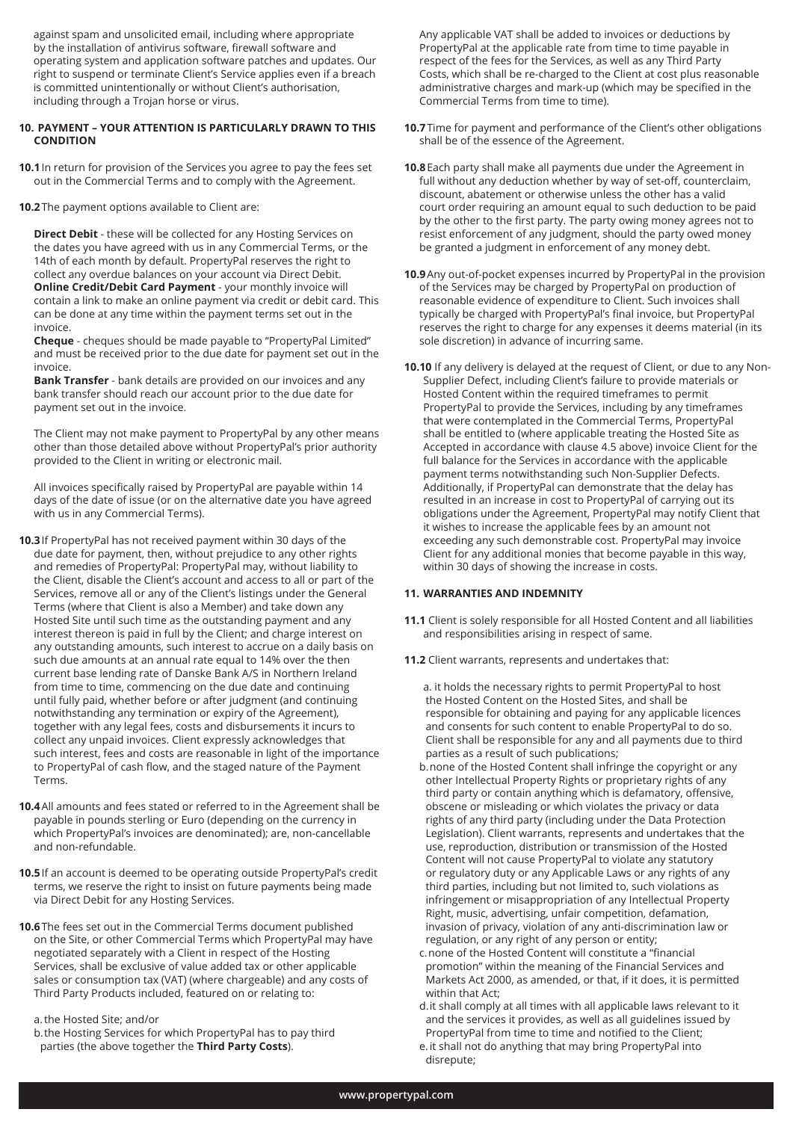against spam and unsolicited email, including where appropriate by the installation of antivirus software, firewall software and operating system and application software patches and updates. Our right to suspend or terminate Client's Service applies even if a breach is committed unintentionally or without Client's authorisation, including through a Trojan horse or virus.

#### **10. PAYMENT – YOUR ATTENTION IS PARTICULARLY DRAWN TO THIS CONDITION**

**10.1**In return for provision of the Services you agree to pay the fees set out in the Commercial Terms and to comply with the Agreement.

**10.2**The payment options available to Client are:

 **Direct Debit** - these will be collected for any Hosting Services on the dates you have agreed with us in any Commercial Terms, or the 14th of each month by default. PropertyPal reserves the right to collect any overdue balances on your account via Direct Debit. **Online Credit/Debit Card Payment** - your monthly invoice will contain a link to make an online payment via credit or debit card. This can be done at any time within the payment terms set out in the invoice.

 **Cheque** - cheques should be made payable to "PropertyPal Limited" and must be received prior to the due date for payment set out in the invoice.

 **Bank Transfer** - bank details are provided on our invoices and any bank transfer should reach our account prior to the due date for payment set out in the invoice.

 The Client may not make payment to PropertyPal by any other means other than those detailed above without PropertyPal's prior authority provided to the Client in writing or electronic mail.

 All invoices specifically raised by PropertyPal are payable within 14 days of the date of issue (or on the alternative date you have agreed with us in any Commercial Terms).

- **10.3**If PropertyPal has not received payment within 30 days of the due date for payment, then, without prejudice to any other rights and remedies of PropertyPal: PropertyPal may, without liability to the Client, disable the Client's account and access to all or part of the Services, remove all or any of the Client's listings under the General Terms (where that Client is also a Member) and take down any Hosted Site until such time as the outstanding payment and any interest thereon is paid in full by the Client; and charge interest on any outstanding amounts, such interest to accrue on a daily basis on such due amounts at an annual rate equal to 14% over the then current base lending rate of Danske Bank A/S in Northern Ireland from time to time, commencing on the due date and continuing until fully paid, whether before or after judgment (and continuing notwithstanding any termination or expiry of the Agreement), together with any legal fees, costs and disbursements it incurs to collect any unpaid invoices. Client expressly acknowledges that such interest, fees and costs are reasonable in light of the importance to PropertyPal of cash flow, and the staged nature of the Payment Terms.
- **10.4**All amounts and fees stated or referred to in the Agreement shall be payable in pounds sterling or Euro (depending on the currency in which PropertyPal's invoices are denominated); are, non-cancellable and non-refundable.
- **10.5**If an account is deemed to be operating outside PropertyPal's credit terms, we reserve the right to insist on future payments being made via Direct Debit for any Hosting Services.
- **10.6**The fees set out in the Commercial Terms document published on the Site, or other Commercial Terms which PropertyPal may have negotiated separately with a Client in respect of the Hosting Services, shall be exclusive of value added tax or other applicable sales or consumption tax (VAT) (where chargeable) and any costs of Third Party Products included, featured on or relating to:

a.the Hosted Site; and/or

 b.the Hosting Services for which PropertyPal has to pay third parties (the above together the **Third Party Costs**).

 Any applicable VAT shall be added to invoices or deductions by PropertyPal at the applicable rate from time to time payable in respect of the fees for the Services, as well as any Third Party Costs, which shall be re-charged to the Client at cost plus reasonable administrative charges and mark-up (which may be specified in the Commercial Terms from time to time).

- **10.7**Time for payment and performance of the Client's other obligations shall be of the essence of the Agreement.
- **10.8**Each party shall make all payments due under the Agreement in full without any deduction whether by way of set-off, counterclaim, discount, abatement or otherwise unless the other has a valid court order requiring an amount equal to such deduction to be paid by the other to the first party. The party owing money agrees not to resist enforcement of any judgment, should the party owed money be granted a judgment in enforcement of any money debt.
- **10.9**Any out-of-pocket expenses incurred by PropertyPal in the provision of the Services may be charged by PropertyPal on production of reasonable evidence of expenditure to Client. Such invoices shall typically be charged with PropertyPal's final invoice, but PropertyPal reserves the right to charge for any expenses it deems material (in its sole discretion) in advance of incurring same.
- **10.10** If any delivery is delayed at the request of Client, or due to any Non- Supplier Defect, including Client's failure to provide materials or Hosted Content within the required timeframes to permit PropertyPal to provide the Services, including by any timeframes that were contemplated in the Commercial Terms, PropertyPal shall be entitled to (where applicable treating the Hosted Site as Accepted in accordance with clause 4.5 above) invoice Client for the full balance for the Services in accordance with the applicable payment terms notwithstanding such Non-Supplier Defects. Additionally, if PropertyPal can demonstrate that the delay has resulted in an increase in cost to PropertyPal of carrying out its obligations under the Agreement, PropertyPal may notify Client that it wishes to increase the applicable fees by an amount not exceeding any such demonstrable cost. PropertyPal may invoice Client for any additional monies that become payable in this way, within 30 days of showing the increase in costs.

### **11. WARRANTIES AND INDEMNITY**

- **11.1** Client is solely responsible for all Hosted Content and all liabilities and responsibilities arising in respect of same.
- **11.2** Client warrants, represents and undertakes that:

 a. it holds the necessary rights to permit PropertyPal to host the Hosted Content on the Hosted Sites, and shall be responsible for obtaining and paying for any applicable licences and consents for such content to enable PropertyPal to do so. Client shall be responsible for any and all payments due to third parties as a result of such publications;

- b.none of the Hosted Content shall infringe the copyright or any other Intellectual Property Rights or proprietary rights of any third party or contain anything which is defamatory, offensive, obscene or misleading or which violates the privacy or data rights of any third party (including under the Data Protection Legislation). Client warrants, represents and undertakes that the use, reproduction, distribution or transmission of the Hosted Content will not cause PropertyPal to violate any statutory or regulatory duty or any Applicable Laws or any rights of any third parties, including but not limited to, such violations as infringement or misappropriation of any Intellectual Property Right, music, advertising, unfair competition, defamation, invasion of privacy, violation of any anti-discrimination law or regulation, or any right of any person or entity;
- c.none of the Hosted Content will constitute a "financial promotion" within the meaning of the Financial Services and Markets Act 2000, as amended, or that, if it does, it is permitted within that Act;
- d.it shall comply at all times with all applicable laws relevant to it and the services it provides, as well as all guidelines issued by PropertyPal from time to time and notified to the Client;
- e.it shall not do anything that may bring PropertyPal into disrepute;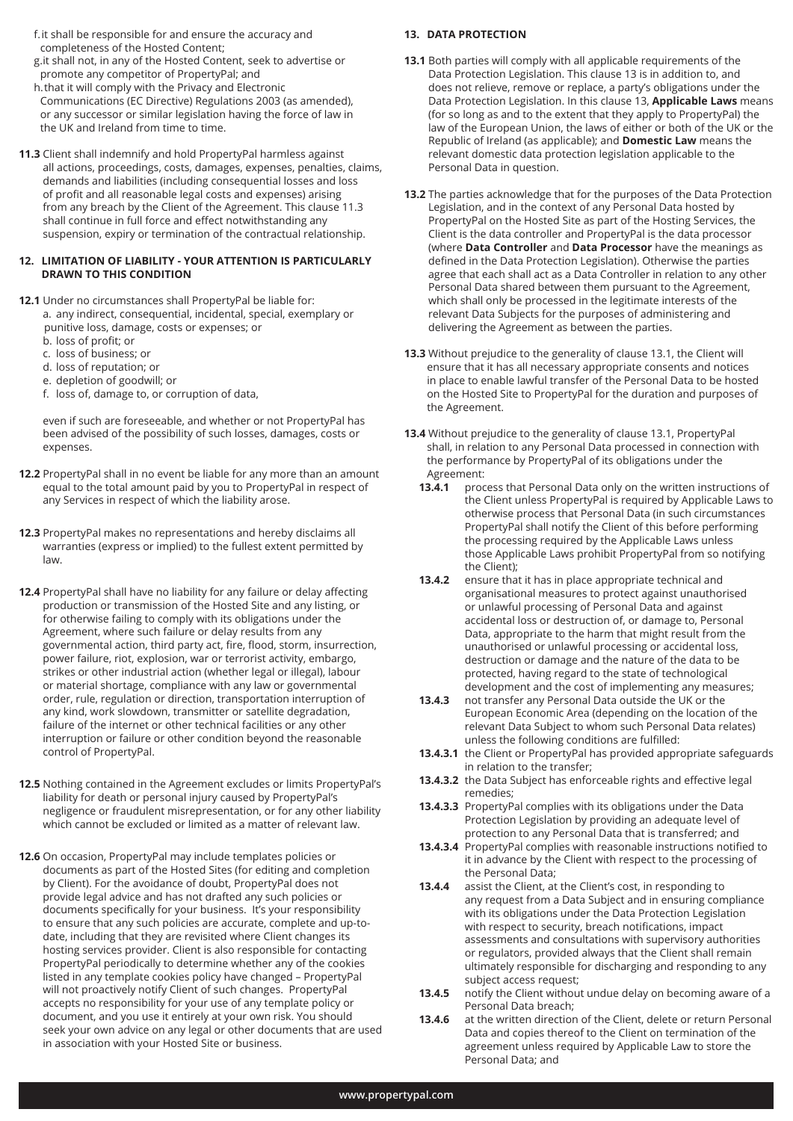- f.it shall be responsible for and ensure the accuracy and completeness of the Hosted Content;
- g.it shall not, in any of the Hosted Content, seek to advertise or promote any competitor of PropertyPal; and
- h.that it will comply with the Privacy and Electronic Communications (EC Directive) Regulations 2003 (as amended), or any successor or similar legislation having the force of law in the UK and Ireland from time to time.
- **11.3** Client shall indemnify and hold PropertyPal harmless against all actions, proceedings, costs, damages, expenses, penalties, claims, demands and liabilities (including consequential losses and loss of profit and all reasonable legal costs and expenses) arising from any breach by the Client of the Agreement. This clause 11.3 shall continue in full force and effect notwithstanding any suspension, expiry or termination of the contractual relationship.

#### **12. LIMITATION OF LIABILITY - YOUR ATTENTION IS PARTICULARLY DRAWN TO THIS CONDITION**

- **12.1** Under no circumstances shall PropertyPal be liable for: a. any indirect, consequential, incidental, special, exemplary or punitive loss, damage, costs or expenses; or
	- b. loss of profit; or
	- c. loss of business; or
	- d. loss of reputation; or
	- e. depletion of goodwill; or
	- f. loss of, damage to, or corruption of data,

 even if such are foreseeable, and whether or not PropertyPal has been advised of the possibility of such losses, damages, costs or expenses.

- **12.2** PropertyPal shall in no event be liable for any more than an amount equal to the total amount paid by you to PropertyPal in respect of any Services in respect of which the liability arose.
- **12.3** PropertyPal makes no representations and hereby disclaims all warranties (express or implied) to the fullest extent permitted by law.
- **12.4** PropertyPal shall have no liability for any failure or delay affecting production or transmission of the Hosted Site and any listing, or for otherwise failing to comply with its obligations under the Agreement, where such failure or delay results from any governmental action, third party act, fire, flood, storm, insurrection, power failure, riot, explosion, war or terrorist activity, embargo, strikes or other industrial action (whether legal or illegal), labour or material shortage, compliance with any law or governmental order, rule, regulation or direction, transportation interruption of any kind, work slowdown, transmitter or satellite degradation, failure of the internet or other technical facilities or any other interruption or failure or other condition beyond the reasonable control of PropertyPal.
- **12.5** Nothing contained in the Agreement excludes or limits PropertyPal's liability for death or personal injury caused by PropertyPal's negligence or fraudulent misrepresentation, or for any other liability which cannot be excluded or limited as a matter of relevant law.
- **12.6** On occasion, PropertyPal may include templates policies or documents as part of the Hosted Sites (for editing and completion by Client). For the avoidance of doubt, PropertyPal does not provide legal advice and has not drafted any such policies or documents specifically for your business. It's your responsibility to ensure that any such policies are accurate, complete and up-to date, including that they are revisited where Client changes its hosting services provider. Client is also responsible for contacting PropertyPal periodically to determine whether any of the cookies listed in any template cookies policy have changed – PropertyPal will not proactively notify Client of such changes. PropertyPal accepts no responsibility for your use of any template policy or document, and you use it entirely at your own risk. You should seek your own advice on any legal or other documents that are used in association with your Hosted Site or business.

# **13. DATA PROTECTION**

- **13.1** Both parties will comply with all applicable requirements of the Data Protection Legislation. This clause 13 is in addition to, and does not relieve, remove or replace, a party's obligations under the Data Protection Legislation. In this clause 13, **Applicable Laws** means (for so long as and to the extent that they apply to PropertyPal) the law of the European Union, the laws of either or both of the UK or the Republic of Ireland (as applicable); and **Domestic Law** means the relevant domestic data protection legislation applicable to the Personal Data in question.
- **13.2** The parties acknowledge that for the purposes of the Data Protection Legislation, and in the context of any Personal Data hosted by PropertyPal on the Hosted Site as part of the Hosting Services, the Client is the data controller and PropertyPal is the data processor (where **Data Controller** and **Data Processor** have the meanings as defined in the Data Protection Legislation). Otherwise the parties agree that each shall act as a Data Controller in relation to any other Personal Data shared between them pursuant to the Agreement, which shall only be processed in the legitimate interests of the relevant Data Subjects for the purposes of administering and delivering the Agreement as between the parties.
- **13.3** Without prejudice to the generality of clause 13.1, the Client will ensure that it has all necessary appropriate consents and notices in place to enable lawful transfer of the Personal Data to be hosted on the Hosted Site to PropertyPal for the duration and purposes of the Agreement.
- **13.4** Without prejudice to the generality of clause 13.1, PropertyPal shall, in relation to any Personal Data processed in connection with the performance by PropertyPal of its obligations under the Agreement:
	- **13.4.1** process that Personal Data only on the written instructions of the Client unless PropertyPal is required by Applicable Laws to otherwise process that Personal Data (in such circumstances PropertyPal shall notify the Client of this before performing the processing required by the Applicable Laws unless those Applicable Laws prohibit PropertyPal from so notifying the Client);<br>13.4.2 ensure that
	- **13.4.2** ensure that it has in place appropriate technical and organisational measures to protect against unauthorised or unlawful processing of Personal Data and against accidental loss or destruction of, or damage to, Personal Data, appropriate to the harm that might result from the unauthorised or unlawful processing or accidental loss, destruction or damage and the nature of the data to be protected, having regard to the state of technological development and the cost of implementing any measures;
	- **13.4.3** not transfer any Personal Data outside the UK or the European Economic Area (depending on the location of the relevant Data Subject to whom such Personal Data relates) unless the following conditions are fulfilled:
	- **13.4.3.1** the Client or PropertyPal has provided appropriate safeguards in relation to the transfer;
	- **13.4.3.2** the Data Subject has enforceable rights and effective legal remedies;
	- **13.4.3.3** PropertyPal complies with its obligations under the Data Protection Legislation by providing an adequate level of protection to any Personal Data that is transferred; and
	- **13.4.3.4** PropertyPal complies with reasonable instructions notified to it in advance by the Client with respect to the processing of the Personal Data;
	- **13.4.4** assist the Client, at the Client's cost, in responding to any request from a Data Subject and in ensuring compliance with its obligations under the Data Protection Legislation with respect to security, breach notifications, impact assessments and consultations with supervisory authorities or regulators, provided always that the Client shall remain ultimately responsible for discharging and responding to any subject access request;
	- **13.4.5** notify the Client without undue delay on becoming aware of a Personal Data breach;
	- **13.4.6** at the written direction of the Client, delete or return Personal Data and copies thereof to the Client on termination of the agreement unless required by Applicable Law to store the Personal Data; and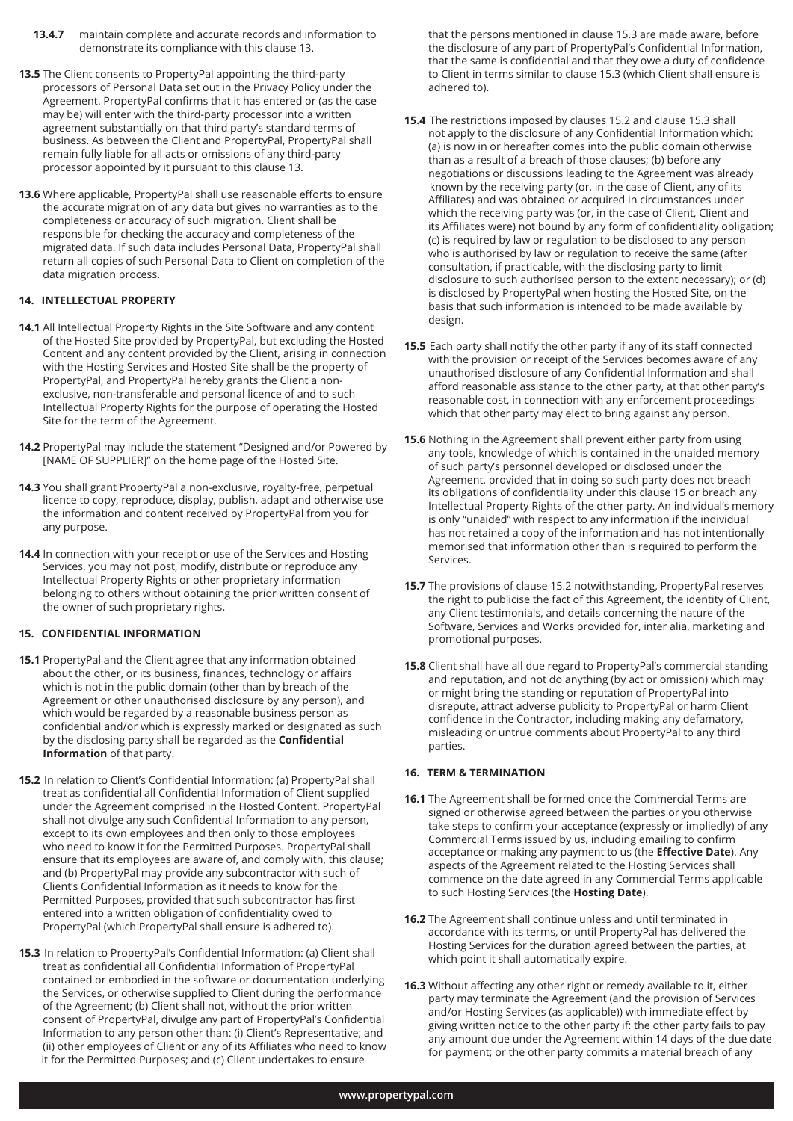- **13.4.7** maintain complete and accurate records and information to demonstrate its compliance with this clause 13.
- **13.5** The Client consents to PropertyPal appointing the third-party processors of Personal Data set out in the Privacy Policy under the Agreement. PropertyPal confirms that it has entered or (as the case may be) will enter with the third-party processor into a written agreement substantially on that third party's standard terms of business. As between the Client and PropertyPal, PropertyPal shall remain fully liable for all acts or omissions of any third-party processor appointed by it pursuant to this clause 13.
- **13.6** Where applicable, PropertyPal shall use reasonable efforts to ensure the accurate migration of any data but gives no warranties as to the completeness or accuracy of such migration. Client shall be responsible for checking the accuracy and completeness of the migrated data. If such data includes Personal Data, PropertyPal shall return all copies of such Personal Data to Client on completion of the data migration process.

# **14. INTELLECTUAL PROPERTY**

- **14.1** All Intellectual Property Rights in the Site Software and any content of the Hosted Site provided by PropertyPal, but excluding the Hosted Content and any content provided by the Client, arising in connection with the Hosting Services and Hosted Site shall be the property of PropertyPal, and PropertyPal hereby grants the Client a non exclusive, non-transferable and personal licence of and to such Intellectual Property Rights for the purpose of operating the Hosted Site for the term of the Agreement.
- **14.2** PropertyPal may include the statement "Designed and/or Powered by [NAME OF SUPPLIER]" on the home page of the Hosted Site.
- **14.3** You shall grant PropertyPal a non-exclusive, royalty-free, perpetual licence to copy, reproduce, display, publish, adapt and otherwise use the information and content received by PropertyPal from you for any purpose.
- **14.4** In connection with your receipt or use of the Services and Hosting Services, you may not post, modify, distribute or reproduce any Intellectual Property Rights or other proprietary information belonging to others without obtaining the prior written consent of the owner of such proprietary rights.

# **15. CONFIDENTIAL INFORMATION**

- **15.1** PropertyPal and the Client agree that any information obtained about the other, or its business, finances, technology or affairs which is not in the public domain (other than by breach of the Agreement or other unauthorised disclosure by any person), and which would be regarded by a reasonable business person as confidential and/or which is expressly marked or designated as such by the disclosing party shall be regarded as the **Confidential Information** of that party.
- **15.2** In relation to Client's Confidential Information: (a) PropertyPal shall treat as confidential all Confidential Information of Client supplied under the Agreement comprised in the Hosted Content. PropertyPal shall not divulge any such Confidential Information to any person, except to its own employees and then only to those employees who need to know it for the Permitted Purposes. PropertyPal shall ensure that its employees are aware of, and comply with, this clause; and (b) PropertyPal may provide any subcontractor with such of Client's Confidential Information as it needs to know for the Permitted Purposes, provided that such subcontractor has first entered into a written obligation of confidentiality owed to PropertyPal (which PropertyPal shall ensure is adhered to).
- **15.3** In relation to PropertyPal's Confidential Information: (a) Client shall treat as confidential all Confidential Information of PropertyPal contained or embodied in the software or documentation underlying the Services, or otherwise supplied to Client during the performance of the Agreement; (b) Client shall not, without the prior written consent of PropertyPal, divulge any part of PropertyPal's Confidential Information to any person other than: (i) Client's Representative; and (ii) other employees of Client or any of its Affiliates who need to know it for the Permitted Purposes; and (c) Client undertakes to ensure

 that the persons mentioned in clause 15.3 are made aware, before the disclosure of any part of PropertyPal's Confidential Information, that the same is confidential and that they owe a duty of confidence to Client in terms similar to clause 15.3 (which Client shall ensure is adhered to).

- **15.4** The restrictions imposed by clauses 15.2 and clause 15.3 shall not apply to the disclosure of any Confidential Information which: (a) is now in or hereafter comes into the public domain otherwise than as a result of a breach of those clauses; (b) before any negotiations or discussions leading to the Agreement was already known by the receiving party (or, in the case of Client, any of its Affiliates) and was obtained or acquired in circumstances under which the receiving party was (or, in the case of Client, Client and its Affiliates were) not bound by any form of confidentiality obligation; (c) is required by law or regulation to be disclosed to any person who is authorised by law or regulation to receive the same (after consultation, if practicable, with the disclosing party to limit disclosure to such authorised person to the extent necessary); or (d) is disclosed by PropertyPal when hosting the Hosted Site, on the basis that such information is intended to be made available by design.
- **15.5** Each party shall notify the other party if any of its staff connected with the provision or receipt of the Services becomes aware of any unauthorised disclosure of any Confidential Information and shall afford reasonable assistance to the other party, at that other party's reasonable cost, in connection with any enforcement proceedings which that other party may elect to bring against any person.
- **15.6** Nothing in the Agreement shall prevent either party from using any tools, knowledge of which is contained in the unaided memory of such party's personnel developed or disclosed under the Agreement, provided that in doing so such party does not breach its obligations of confidentiality under this clause 15 or breach any Intellectual Property Rights of the other party. An individual's memory is only "unaided" with respect to any information if the individual has not retained a copy of the information and has not intentionally memorised that information other than is required to perform the Services.
- **15.7** The provisions of clause 15.2 notwithstanding, PropertyPal reserves the right to publicise the fact of this Agreement, the identity of Client, any Client testimonials, and details concerning the nature of the Software, Services and Works provided for, inter alia, marketing and promotional purposes.
- **15.8** Client shall have all due regard to PropertyPal's commercial standing and reputation, and not do anything (by act or omission) which may or might bring the standing or reputation of PropertyPal into disrepute, attract adverse publicity to PropertyPal or harm Client confidence in the Contractor, including making any defamatory, misleading or untrue comments about PropertyPal to any third parties.

### **16. TERM & TERMINATION**

- **16.1** The Agreement shall be formed once the Commercial Terms are signed or otherwise agreed between the parties or you otherwise take steps to confirm your acceptance (expressly or impliedly) of any Commercial Terms issued by us, including emailing to confirm acceptance or making any payment to us (the **Effective Date**). Any aspects of the Agreement related to the Hosting Services shall commence on the date agreed in any Commercial Terms applicable to such Hosting Services (the **Hosting Date**).
- **16.2** The Agreement shall continue unless and until terminated in accordance with its terms, or until PropertyPal has delivered the Hosting Services for the duration agreed between the parties, at which point it shall automatically expire.
- **16.3** Without affecting any other right or remedy available to it, either party may terminate the Agreement (and the provision of Services and/or Hosting Services (as applicable)) with immediate effect by giving written notice to the other party if: the other party fails to pay any amount due under the Agreement within 14 days of the due date for payment; or the other party commits a material breach of any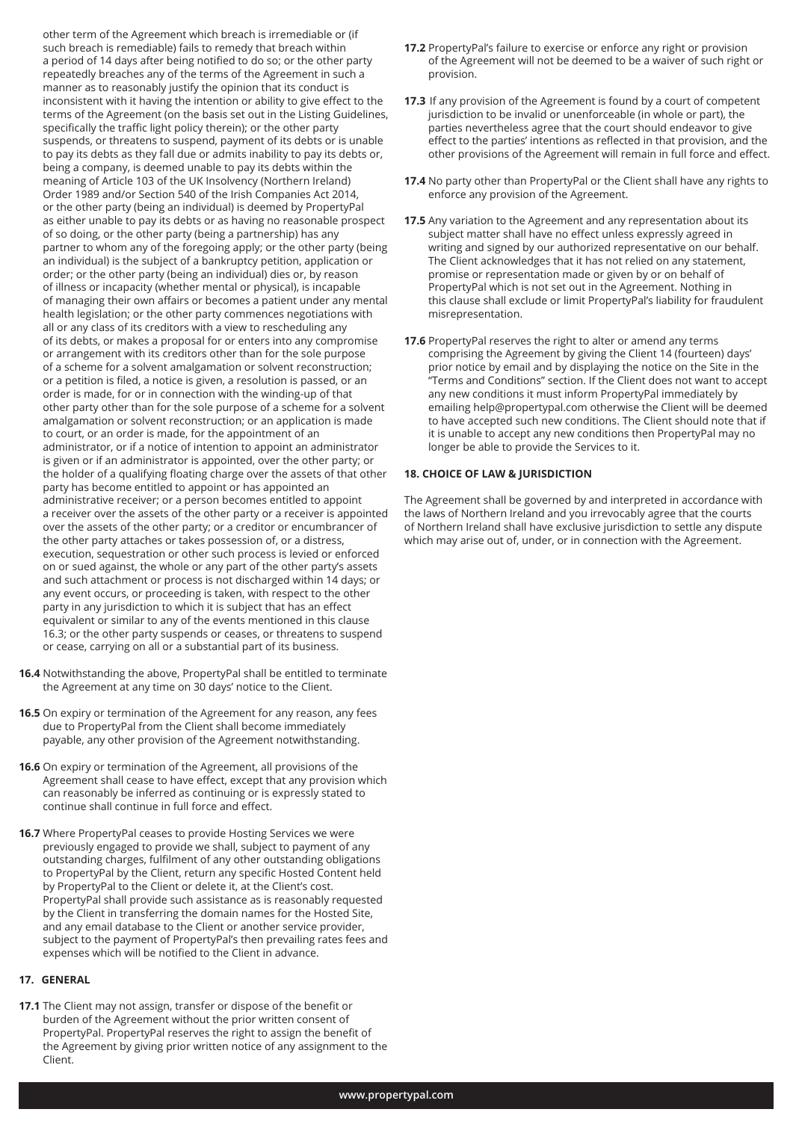other term of the Agreement which breach is irremediable or (if such breach is remediable) fails to remedy that breach within a period of 14 days after being notified to do so; or the other party repeatedly breaches any of the terms of the Agreement in such a manner as to reasonably justify the opinion that its conduct is inconsistent with it having the intention or ability to give effect to the terms of the Agreement (on the basis set out in the Listing Guidelines, specifically the traffic light policy therein); or the other party suspends, or threatens to suspend, payment of its debts or is unable to pay its debts as they fall due or admits inability to pay its debts or, being a company, is deemed unable to pay its debts within the meaning of Article 103 of the UK Insolvency (Northern Ireland) Order 1989 and/or Section 540 of the Irish Companies Act 2014, or the other party (being an individual) is deemed by PropertyPal as either unable to pay its debts or as having no reasonable prospect of so doing, or the other party (being a partnership) has any partner to whom any of the foregoing apply; or the other party (being an individual) is the subject of a bankruptcy petition, application or order; or the other party (being an individual) dies or, by reason of illness or incapacity (whether mental or physical), is incapable of managing their own affairs or becomes a patient under any mental health legislation; or the other party commences negotiations with all or any class of its creditors with a view to rescheduling any of its debts, or makes a proposal for or enters into any compromise or arrangement with its creditors other than for the sole purpose of a scheme for a solvent amalgamation or solvent reconstruction; or a petition is filed, a notice is given, a resolution is passed, or an order is made, for or in connection with the winding-up of that other party other than for the sole purpose of a scheme for a solvent amalgamation or solvent reconstruction; or an application is made to court, or an order is made, for the appointment of an administrator, or if a notice of intention to appoint an administrator is given or if an administrator is appointed, over the other party; or the holder of a qualifying floating charge over the assets of that other party has become entitled to appoint or has appointed an administrative receiver; or a person becomes entitled to appoint a receiver over the assets of the other party or a receiver is appointed over the assets of the other party; or a creditor or encumbrancer of the other party attaches or takes possession of, or a distress, execution, sequestration or other such process is levied or enforced on or sued against, the whole or any part of the other party's assets and such attachment or process is not discharged within 14 days; or any event occurs, or proceeding is taken, with respect to the other party in any jurisdiction to which it is subject that has an effect equivalent or similar to any of the events mentioned in this clause 16.3; or the other party suspends or ceases, or threatens to suspend or cease, carrying on all or a substantial part of its business.

- **16.4** Notwithstanding the above, PropertyPal shall be entitled to terminate the Agreement at any time on 30 days' notice to the Client.
- **16.5** On expiry or termination of the Agreement for any reason, any fees due to PropertyPal from the Client shall become immediately payable, any other provision of the Agreement notwithstanding.
- **16.6** On expiry or termination of the Agreement, all provisions of the Agreement shall cease to have effect, except that any provision which can reasonably be inferred as continuing or is expressly stated to continue shall continue in full force and effect.
- **16.7** Where PropertyPal ceases to provide Hosting Services we were previously engaged to provide we shall, subject to payment of any outstanding charges, fulfilment of any other outstanding obligations to PropertyPal by the Client, return any specific Hosted Content held by PropertyPal to the Client or delete it, at the Client's cost. PropertyPal shall provide such assistance as is reasonably requested by the Client in transferring the domain names for the Hosted Site, and any email database to the Client or another service provider, subject to the payment of PropertyPal's then prevailing rates fees and expenses which will be notified to the Client in advance.

#### **17. GENERAL**

**17.1** The Client may not assign, transfer or dispose of the benefit or burden of the Agreement without the prior written consent of PropertyPal. PropertyPal reserves the right to assign the benefit of the Agreement by giving prior written notice of any assignment to the Client.

- **17.2** PropertyPal's failure to exercise or enforce any right or provision of the Agreement will not be deemed to be a waiver of such right or provision.
- **17.3** If any provision of the Agreement is found by a court of competent jurisdiction to be invalid or unenforceable (in whole or part), the parties nevertheless agree that the court should endeavor to give effect to the parties' intentions as reflected in that provision, and the other provisions of the Agreement will remain in full force and effect.
- **17.4** No party other than PropertyPal or the Client shall have any rights to enforce any provision of the Agreement.
- **17.5** Any variation to the Agreement and any representation about its subject matter shall have no effect unless expressly agreed in writing and signed by our authorized representative on our behalf. The Client acknowledges that it has not relied on any statement, promise or representation made or given by or on behalf of PropertyPal which is not set out in the Agreement. Nothing in this clause shall exclude or limit PropertyPal's liability for fraudulent misrepresentation.
- **17.6** PropertyPal reserves the right to alter or amend any terms comprising the Agreement by giving the Client 14 (fourteen) days' prior notice by email and by displaying the notice on the Site in the "Terms and Conditions" section. If the Client does not want to accept any new conditions it must inform PropertyPal immediately by emailing help@propertypal.com otherwise the Client will be deemed to have accepted such new conditions. The Client should note that if it is unable to accept any new conditions then PropertyPal may no longer be able to provide the Services to it.

#### **18. CHOICE OF LAW & JURISDICTION**

The Agreement shall be governed by and interpreted in accordance with the laws of Northern Ireland and you irrevocably agree that the courts of Northern Ireland shall have exclusive jurisdiction to settle any dispute which may arise out of, under, or in connection with the Agreement.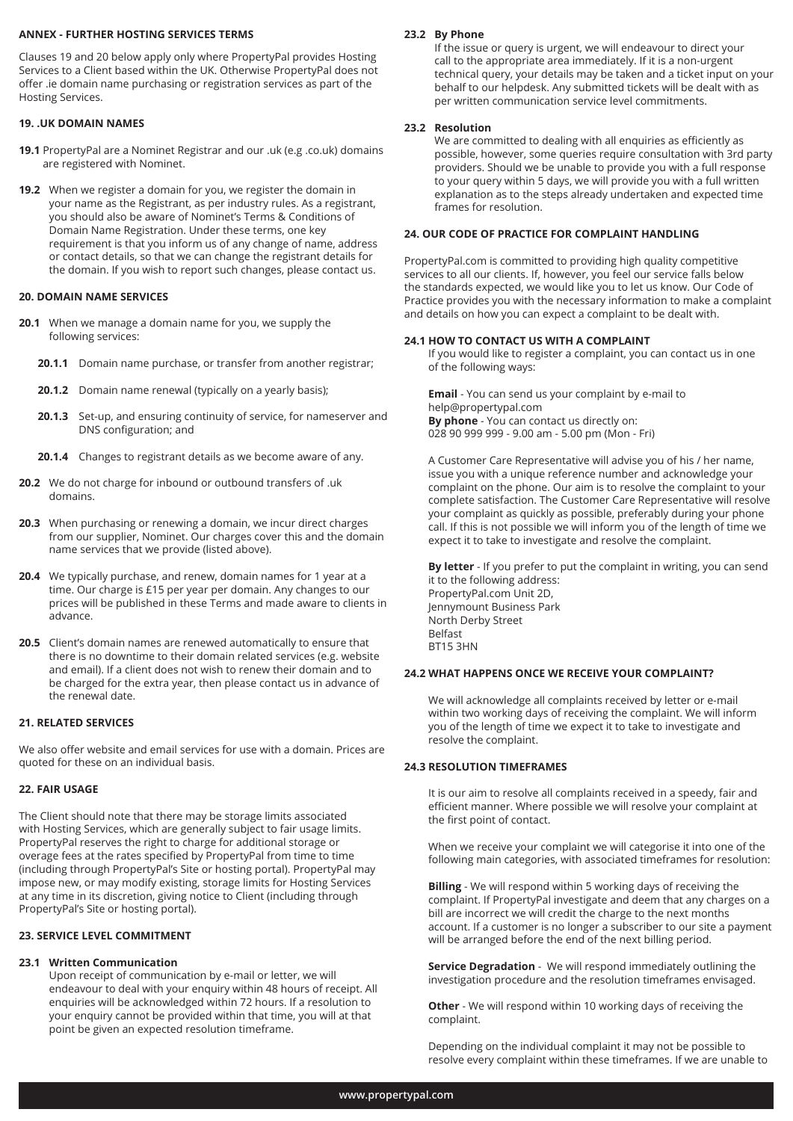#### **ANNEX - FURTHER HOSTING SERVICES TERMS**

Clauses 19 and 20 below apply only where PropertyPal provides Hosting Services to a Client based within the UK. Otherwise PropertyPal does not offer .ie domain name purchasing or registration services as part of the Hosting Services.

# **19. .UK DOMAIN NAMES**

- **19.1** PropertyPal are a Nominet Registrar and our .uk (e.g .co.uk) domains are registered with Nominet.
- **19.2** When we register a domain for you, we register the domain in your name as the Registrant, as per industry rules. As a registrant, you should also be aware of Nominet's Terms & Conditions of Domain Name Registration. Under these terms, one key requirement is that you inform us of any change of name, address or contact details, so that we can change the registrant details for the domain. If you wish to report such changes, please contact us.

# **20. DOMAIN NAME SERVICES**

- **20.1** When we manage a domain name for you, we supply the following services:
	- **20.1.1** Domain name purchase, or transfer from another registrar;
	- **20.1.2** Domain name renewal (typically on a yearly basis);
	- **20.1.3** Set-up, and ensuring continuity of service, for nameserver and DNS configuration; and
	- **20.1.4** Changes to registrant details as we become aware of any.
- **20.2** We do not charge for inbound or outbound transfers of .uk domains.
- **20.3** When purchasing or renewing a domain, we incur direct charges from our supplier, Nominet. Our charges cover this and the domain name services that we provide (listed above).
- **20.4** We typically purchase, and renew, domain names for 1 year at a time. Our charge is £15 per year per domain. Any changes to our prices will be published in these Terms and made aware to clients in advance.
- **20.5** Client's domain names are renewed automatically to ensure that there is no downtime to their domain related services (e.g. website and email). If a client does not wish to renew their domain and to be charged for the extra year, then please contact us in advance of the renewal date.

# **21. RELATED SERVICES**

We also offer website and email services for use with a domain. Prices are quoted for these on an individual basis.

# **22. FAIR USAGE**

The Client should note that there may be storage limits associated with Hosting Services, which are generally subject to fair usage limits. PropertyPal reserves the right to charge for additional storage or overage fees at the rates specified by PropertyPal from time to time (including through PropertyPal's Site or hosting portal). PropertyPal may impose new, or may modify existing, storage limits for Hosting Services at any time in its discretion, giving notice to Client (including through PropertyPal's Site or hosting portal).

# **23. SERVICE LEVEL COMMITMENT**

# **23.1 Written Communication**

Upon receipt of communication by e-mail or letter, we will endeavour to deal with your enquiry within 48 hours of receipt. All enquiries will be acknowledged within 72 hours. If a resolution to your enquiry cannot be provided within that time, you will at that point be given an expected resolution timeframe.

# **23.2 By Phone**

If the issue or query is urgent, we will endeavour to direct your call to the appropriate area immediately. If it is a non-urgent technical query, your details may be taken and a ticket input on your behalf to our helpdesk. Any submitted tickets will be dealt with as per written communication service level commitments.

#### **23.2 Resolution**

 We are committed to dealing with all enquiries as efficiently as possible, however, some queries require consultation with 3rd party providers. Should we be unable to provide you with a full response to your query within 5 days, we will provide you with a full written explanation as to the steps already undertaken and expected time frames for resolution.

#### **24. OUR CODE OF PRACTICE FOR COMPLAINT HANDLING**

PropertyPal.com is committed to providing high quality competitive services to all our clients. If, however, you feel our service falls below the standards expected, we would like you to let us know. Our Code of Practice provides you with the necessary information to make a complaint and details on how you can expect a complaint to be dealt with.

#### **24.1 HOW TO CONTACT US WITH A COMPLAINT**

If you would like to register a complaint, you can contact us in one of the following ways:

**Email** - You can send us your complaint by e-mail to help@propertypal.com **By phone** - You can contact us directly on: 028 90 999 999 - 9.00 am - 5.00 pm (Mon - Fri)

A Customer Care Representative will advise you of his / her name, issue you with a unique reference number and acknowledge your complaint on the phone. Our aim is to resolve the complaint to your complete satisfaction. The Customer Care Representative will resolve your complaint as quickly as possible, preferably during your phone call. If this is not possible we will inform you of the length of time we expect it to take to investigate and resolve the complaint.

**By letter** - If you prefer to put the complaint in writing, you can send it to the following address: PropertyPal.com Unit 2D,

Jennymount Business Park North Derby Street Belfast BT15 3HN

#### **24.2 WHAT HAPPENS ONCE WE RECEIVE YOUR COMPLAINT?**

We will acknowledge all complaints received by letter or e-mail within two working days of receiving the complaint. We will inform you of the length of time we expect it to take to investigate and resolve the complaint.

#### **24.3 RESOLUTION TIMEFRAMES**

It is our aim to resolve all complaints received in a speedy, fair and efficient manner. Where possible we will resolve your complaint at the first point of contact.

When we receive your complaint we will categorise it into one of the following main categories, with associated timeframes for resolution:

**Billing** - We will respond within 5 working days of receiving the complaint. If PropertyPal investigate and deem that any charges on a bill are incorrect we will credit the charge to the next months account. If a customer is no longer a subscriber to our site a payment will be arranged before the end of the next billing period.

**Service Degradation** - We will respond immediately outlining the investigation procedure and the resolution timeframes envisaged.

**Other** - We will respond within 10 working days of receiving the complaint.

Depending on the individual complaint it may not be possible to resolve every complaint within these timeframes. If we are unable to